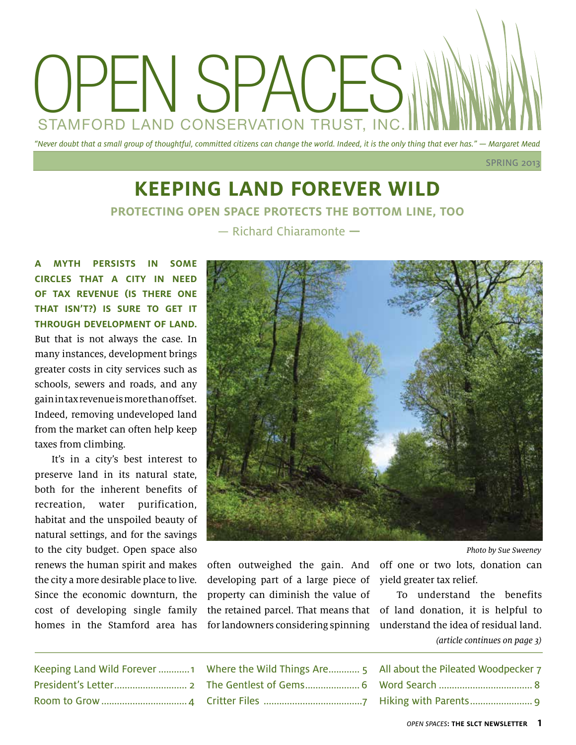

## **Keeping Land Forever Wild Protecting open space protects the bottom line, too** — Richard Chiaramonte **—**

**A myth persists in some circles that a city in need of tax revenue (is there one that isn't?) is sure to get it through development of land.** But that is not always the case. In many instances, development brings greater costs in city services such as schools, sewers and roads, and any gain in tax revenue is more than offset. Indeed, removing undeveloped land from the market can often help keep taxes from climbing.

It's in a city's best interest to preserve land in its natural state, both for the inherent benefits of recreation, water purification, habitat and the unspoiled beauty of natural settings, and for the savings to the city budget. Open space also renews the human spirit and makes the city a more desirable place to live. Since the economic downturn, the cost of developing single family homes in the Stamford area has



Photo by Sue Sweeney

often outweighed the gain. And developing part of a large piece of property can diminish the value of the retained parcel. That means that for landowners considering spinning understand the idea of residual land.

off one or two lots, donation can yield greater tax relief.

To understand the benefits of land donation, it is helpful to (article continues on page 3)

| Keeping Land Wild Forever1 |
|----------------------------|
|                            |
|                            |

| Where the Wild Things Are 5 |
|-----------------------------|
| The Gentlest of Gems 6      |
|                             |

| All about the Pileated Woodpecker 7 |  |
|-------------------------------------|--|
|                                     |  |
|                                     |  |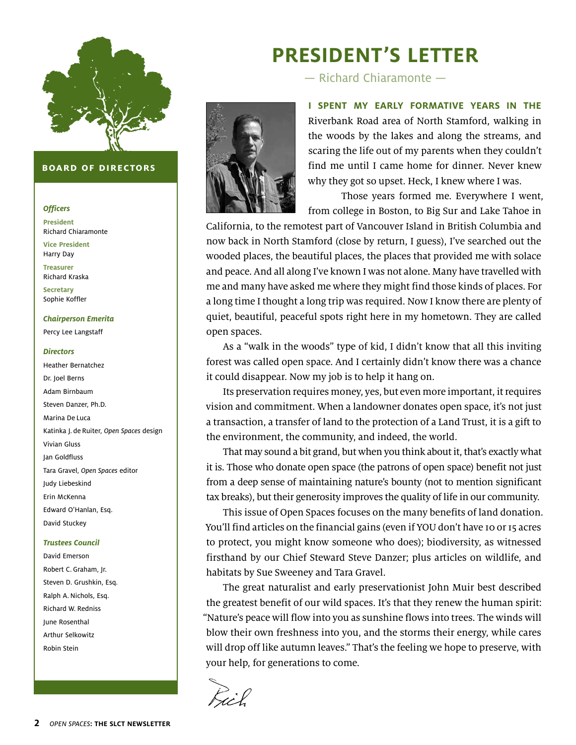

#### **board of directors**

#### **Officers**

**President** Richard Chiaramonte **Vice President** Harry Day **Treasurer**  Richard Kraska **Secretary** Sophie Koffler

**Chairperson Emerita** Percy Lee Langstaff

#### **Directors**

Heather Bernatchez Dr. Joel Berns Adam Birnbaum Steven Danzer, Ph.D. Marina De Luca Katinka J. de Ruiter, Open Spaces design Vivian Gluss Jan Goldfluss Tara Gravel, Open Spaces editor Judy Liebeskind Erin McKenna Edward O'Hanlan, Esq. David Stuckey

#### **Trustees Council**

David Emerson Robert C. Graham, Jr. Steven D. Grushkin, Esq. Ralph A. Nichols, Esq. Richard W. Redniss June Rosenthal Arthur Selkowitz Robin Stein

# **President's Letter**

— Richard Chiaramonte —



**I spent my early formative years in the** Riverbank Road area of North Stamford, walking in the woods by the lakes and along the streams, and scaring the life out of my parents when they couldn't find me until I came home for dinner. Never knew why they got so upset. Heck, I knew where I was.

Those years formed me. Everywhere I went, from college in Boston, to Big Sur and Lake Tahoe in

California, to the remotest part of Vancouver Island in British Columbia and now back in North Stamford (close by return, I guess), I've searched out the wooded places, the beautiful places, the places that provided me with solace and peace. And all along I've known I was not alone. Many have travelled with me and many have asked me where they might find those kinds of places. For a long time I thought a long trip was required. Now I know there are plenty of quiet, beautiful, peaceful spots right here in my hometown. They are called open spaces.

As a "walk in the woods" type of kid, I didn't know that all this inviting forest was called open space. And I certainly didn't know there was a chance it could disappear. Now my job is to help it hang on.

Its preservation requires money, yes, but even more important, it requires vision and commitment. When a landowner donates open space, it's not just a transaction, a transfer of land to the protection of a Land Trust, it is a gift to the environment, the community, and indeed, the world.

That may sound a bit grand, but when you think about it, that's exactly what it is. Those who donate open space (the patrons of open space) benefit not just from a deep sense of maintaining nature's bounty (not to mention significant tax breaks), but their generosity improves the quality of life in our community.

This issue of Open Spaces focuses on the many benefits of land donation. You'll find articles on the financial gains (even if YOU don't have 10 or 15 acres to protect, you might know someone who does); biodiversity, as witnessed firsthand by our Chief Steward Steve Danzer; plus articles on wildlife, and habitats by Sue Sweeney and Tara Gravel.

The great naturalist and early preservationist John Muir best described the greatest benefit of our wild spaces. It's that they renew the human spirit: "Nature's peace will flow into you as sunshine flows into trees. The winds will blow their own freshness into you, and the storms their energy, while cares will drop off like autumn leaves." That's the feeling we hope to preserve, with your help, for generations to come.

Bil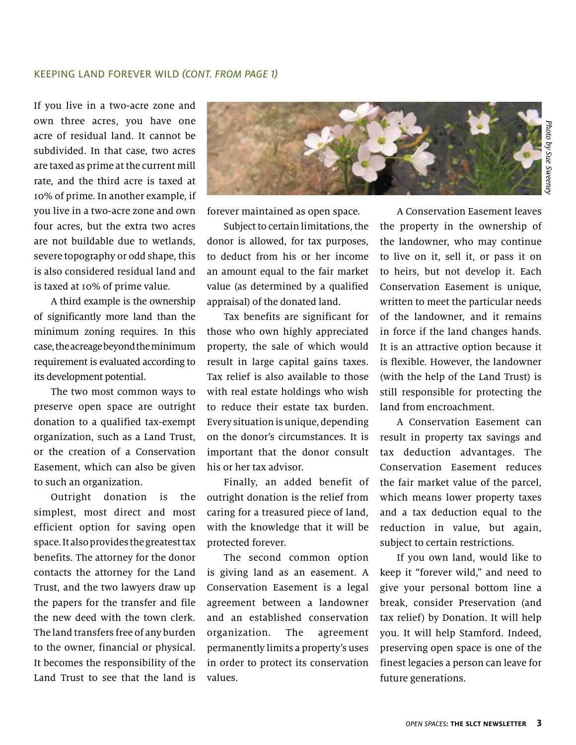#### KEEPING LAND FOREVER WILD (CONT. from page 1)

If you live in a two-acre zone and own three acres, you have one acre of residual land. It cannot be subdivided. In that case, two acres are taxed as prime at the current mill rate, and the third acre is taxed at 10% of prime. In another example, if you live in a two-acre zone and own four acres, but the extra two acres are not buildable due to wetlands, severe topography or odd shape, this is also considered residual land and is taxed at 10% of prime value.

A third example is the ownership of significantly more land than the minimum zoning requires. In this case, the acreage beyond the minimum requirement is evaluated according to its development potential.

The two most common ways to preserve open space are outright donation to a qualified tax-exempt organization, such as a Land Trust, or the creation of a Conservation Easement, which can also be given to such an organization.

Outright donation is the simplest, most direct and most efficient option for saving open space. It also provides the greatest tax benefits. The attorney for the donor contacts the attorney for the Land Trust, and the two lawyers draw up the papers for the transfer and file the new deed with the town clerk. The land transfers free of any burden to the owner, financial or physical. It becomes the responsibility of the Land Trust to see that the land is



forever maintained as open space.

Subject to certain limitations, the donor is allowed, for tax purposes, to deduct from his or her income an amount equal to the fair market value (as determined by a qualified appraisal) of the donated land.

Tax benefits are significant for those who own highly appreciated property, the sale of which would result in large capital gains taxes. Tax relief is also available to those with real estate holdings who wish to reduce their estate tax burden. Every situation is unique, depending on the donor's circumstances. It is important that the donor consult his or her tax advisor.

Finally, an added benefit of outright donation is the relief from caring for a treasured piece of land, with the knowledge that it will be protected forever.

The second common option is giving land as an easement. A Conservation Easement is a legal agreement between a landowner and an established conservation organization. The agreement permanently limits a property's uses in order to protect its conservation values.

A Conservation Easement leaves the property in the ownership of the landowner, who may continue to live on it, sell it, or pass it on to heirs, but not develop it. Each Conservation Easement is unique, written to meet the particular needs of the landowner, and it remains in force if the land changes hands. It is an attractive option because it is flexible. However, the landowner (with the help of the Land Trust) is still responsible for protecting the land from encroachment.

A Conservation Easement can result in property tax savings and tax deduction advantages. The Conservation Easement reduces the fair market value of the parcel, which means lower property taxes and a tax deduction equal to the reduction in value, but again, subject to certain restrictions.

If you own land, would like to keep it "forever wild," and need to give your personal bottom line a break, consider Preservation (and tax relief) by Donation. It will help you. It will help Stamford. Indeed, preserving open space is one of the finest legacies a person can leave for future generations.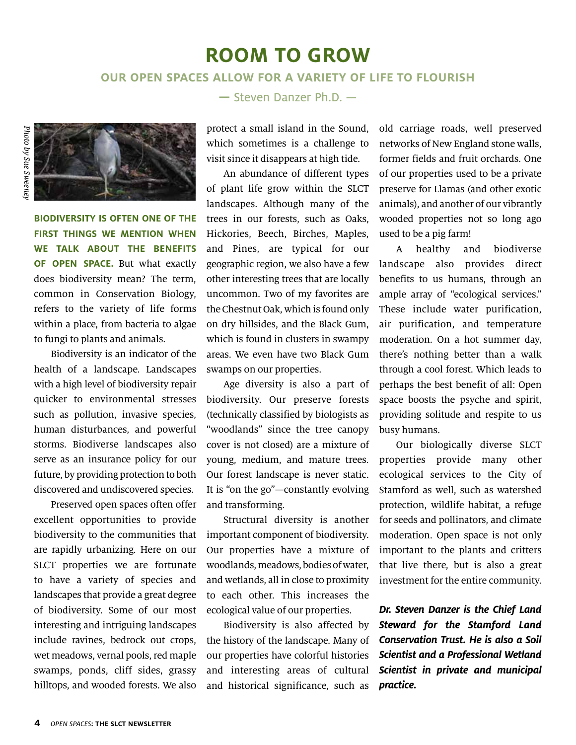## **Room to grow**

### **Our open spaces ALLOW for a variety of life to flourish**



**Biodiversity is often one of the first things we mention when we talk about the benefits of open space.** But what exactly does biodiversity mean? The term, common in Conservation Biology, refers to the variety of life forms within a place, from bacteria to algae to fungi to plants and animals.

Biodiversity is an indicator of the health of a landscape. Landscapes with a high level of biodiversity repair quicker to environmental stresses such as pollution, invasive species, human disturbances, and powerful storms. Biodiverse landscapes also serve as an insurance policy for our future, by providing protection to both discovered and undiscovered species.

Preserved open spaces often offer excellent opportunities to provide biodiversity to the communities that are rapidly urbanizing. Here on our SLCT properties we are fortunate to have a variety of species and landscapes that provide a great degree of biodiversity. Some of our most interesting and intriguing landscapes include ravines, bedrock out crops, wet meadows, vernal pools, red maple swamps, ponds, cliff sides, grassy hilltops, and wooded forests. We also

### **—** Steven Danzer Ph.D. —

protect a small island in the Sound, which sometimes is a challenge to visit since it disappears at high tide.

An abundance of different types of plant life grow within the SLCT landscapes. Although many of the trees in our forests, such as Oaks, Hickories, Beech, Birches, Maples, and Pines, are typical for our geographic region, we also have a few other interesting trees that are locally uncommon. Two of my favorites are the Chestnut Oak, which is found only on dry hillsides, and the Black Gum, which is found in clusters in swampy areas. We even have two Black Gum swamps on our properties.

Age diversity is also a part of biodiversity. Our preserve forests (technically classified by biologists as "woodlands" since the tree canopy cover is not closed) are a mixture of young, medium, and mature trees. Our forest landscape is never static. It is "on the go"—constantly evolving and transforming.

Structural diversity is another important component of biodiversity. Our properties have a mixture of woodlands, meadows, bodies of water, and wetlands, all in close to proximity to each other. This increases the ecological value of our properties.

Biodiversity is also affected by the history of the landscape. Many of our properties have colorful histories and interesting areas of cultural and historical significance, such as old carriage roads, well preserved networks of New England stone walls, former fields and fruit orchards. One of our properties used to be a private preserve for Llamas (and other exotic animals), and another of our vibrantly wooded properties not so long ago used to be a pig farm!

A healthy and biodiverse landscape also provides direct benefits to us humans, through an ample array of "ecological services." These include water purification, air purification, and temperature moderation. On a hot summer day, there's nothing better than a walk through a cool forest. Which leads to perhaps the best benefit of all: Open space boosts the psyche and spirit, providing solitude and respite to us busy humans.

Our biologically diverse SLCT properties provide many other ecological services to the City of Stamford as well, such as watershed protection, wildlife habitat, a refuge for seeds and pollinators, and climate moderation. Open space is not only important to the plants and critters that live there, but is also a great investment for the entire community.

**Dr. Steven Danzer is the Chief Land Steward for the Stamford Land Conservation Trust. He is also a Soil Scientist and a Professional Wetland Scientist in private and municipal practice.**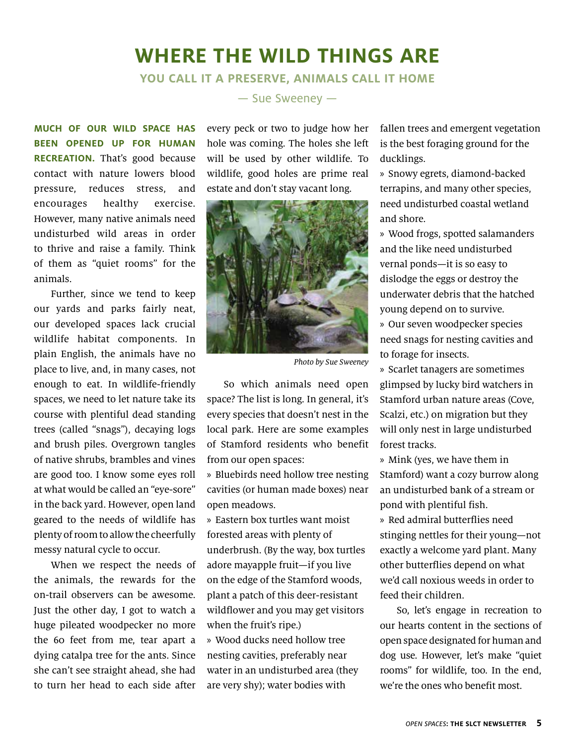## **Where the Wild Things ArE**

### **You Call It a Preserve, Animals Call It Home** — Sue Sweeney —

**Much of our wild space has**

**been opened up for human recreation.** That's good because contact with nature lowers blood pressure, reduces stress, and encourages healthy exercise. However, many native animals need undisturbed wild areas in order to thrive and raise a family. Think of them as "quiet rooms" for the animals.

Further, since we tend to keep our yards and parks fairly neat, our developed spaces lack crucial wildlife habitat components. In plain English, the animals have no place to live, and, in many cases, not enough to eat. In wildlife-friendly spaces, we need to let nature take its course with plentiful dead standing trees (called "snags"), decaying logs and brush piles. Overgrown tangles of native shrubs, brambles and vines are good too. I know some eyes roll at what would be called an "eye-sore" in the back yard. However, open land geared to the needs of wildlife has plenty of room to allow the cheerfully messy natural cycle to occur.

When we respect the needs of the animals, the rewards for the on-trail observers can be awesome. Just the other day, I got to watch a huge pileated woodpecker no more the 60 feet from me, tear apart a dying catalpa tree for the ants. Since she can't see straight ahead, she had to turn her head to each side after every peck or two to judge how her hole was coming. The holes she left will be used by other wildlife. To wildlife, good holes are prime real estate and don't stay vacant long.



Photo by Sue Sweeney

So which animals need open space? The list is long. In general, it's every species that doesn't nest in the local park. Here are some examples of Stamford residents who benefit from our open spaces:

» Bluebirds need hollow tree nesting cavities (or human made boxes) near open meadows.

» Eastern box turtles want moist forested areas with plenty of underbrush. (By the way, box turtles adore mayapple fruit—if you live on the edge of the Stamford woods, plant a patch of this deer-resistant wildflower and you may get visitors when the fruit's ripe.)

» Wood ducks need hollow tree nesting cavities, preferably near water in an undisturbed area (they are very shy); water bodies with

fallen trees and emergent vegetation is the best foraging ground for the ducklings.

» Snowy egrets, diamond-backed terrapins, and many other species, need undisturbed coastal wetland and shore.

» Wood frogs, spotted salamanders and the like need undisturbed vernal ponds—it is so easy to dislodge the eggs or destroy the underwater debris that the hatched young depend on to survive. » Our seven woodpecker species need snags for nesting cavities and to forage for insects.

» Scarlet tanagers are sometimes glimpsed by lucky bird watchers in Stamford urban nature areas (Cove, Scalzi, etc.) on migration but they will only nest in large undisturbed forest tracks.

» Mink (yes, we have them in Stamford) want a cozy burrow along an undisturbed bank of a stream or pond with plentiful fish.

» Red admiral butterflies need stinging nettles for their young—not exactly a welcome yard plant. Many other butterflies depend on what we'd call noxious weeds in order to feed their children.

So, let's engage in recreation to our hearts content in the sections of open space designated for human and dog use. However, let's make "quiet rooms" for wildlife, too. In the end, we're the ones who benefit most.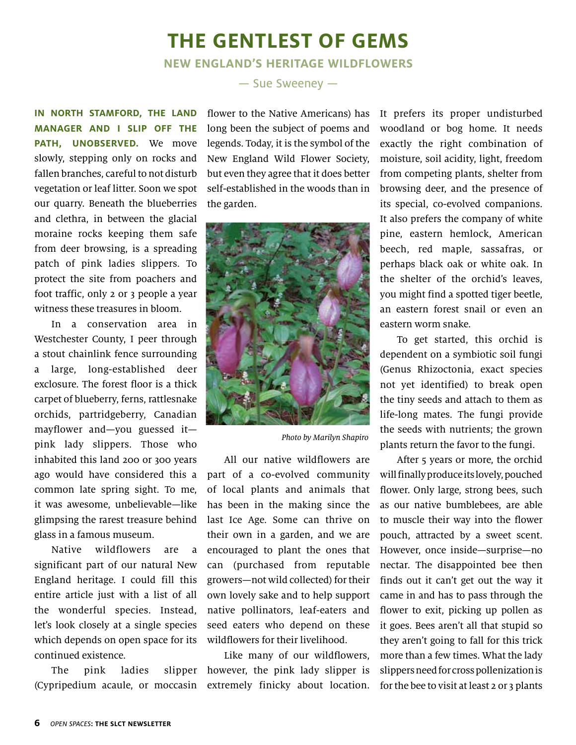## **the gentlest of gems**

**New England's Heritage Wildflowers**

**In North Stamford, the land manager and I slip off the path, unobserved.** We move slowly, stepping only on rocks and fallen branches, careful to not disturb vegetation or leaf litter. Soon we spot our quarry. Beneath the blueberries and clethra, in between the glacial moraine rocks keeping them safe from deer browsing, is a spreading patch of pink ladies slippers. To protect the site from poachers and foot traffic, only 2 or 3 people a year witness these treasures in bloom.

In a conservation area in Westchester County, I peer through a stout chainlink fence surrounding a large, long-established deer exclosure. The forest floor is a thick carpet of blueberry, ferns, rattlesnake orchids, partridgeberry, Canadian mayflower and—you guessed it pink lady slippers. Those who inhabited this land 200 or 300 years ago would have considered this a common late spring sight. To me, it was awesome, unbelievable—like glimpsing the rarest treasure behind glass in a famous museum.

Native wildflowers are a significant part of our natural New England heritage. I could fill this entire article just with a list of all the wonderful species. Instead, let's look closely at a single species which depends on open space for its continued existence.

(Cypripedium acaule, or moccasin

### — Sue Sweeney —

flower to the Native Americans) has long been the subject of poems and legends. Today, it is the symbol of the New England Wild Flower Society, but even they agree that it does better self-established in the woods than in the garden.



Photo by Marilyn Shapiro

All our native wildflowers are part of a co-evolved community of local plants and animals that has been in the making since the last Ice Age. Some can thrive on their own in a garden, and we are encouraged to plant the ones that can (purchased from reputable growers—not wild collected) for their own lovely sake and to help support native pollinators, leaf-eaters and seed eaters who depend on these wildflowers for their livelihood.

The pink ladies slipper however, the pink lady slipper is Like many of our wildflowers, extremely finicky about location.

It prefers its proper undisturbed woodland or bog home. It needs exactly the right combination of moisture, soil acidity, light, freedom from competing plants, shelter from browsing deer, and the presence of its special, co-evolved companions. It also prefers the company of white pine, eastern hemlock, American beech, red maple, sassafras, or perhaps black oak or white oak. In the shelter of the orchid's leaves, you might find a spotted tiger beetle, an eastern forest snail or even an eastern worm snake.

To get started, this orchid is dependent on a symbiotic soil fungi (Genus Rhizoctonia, exact species not yet identified) to break open the tiny seeds and attach to them as life-long mates. The fungi provide the seeds with nutrients; the grown plants return the favor to the fungi.

After 5 years or more, the orchid will finally produce its lovely, pouched flower. Only large, strong bees, such as our native bumblebees, are able to muscle their way into the flower pouch, attracted by a sweet scent. However, once inside—surprise—no nectar. The disappointed bee then finds out it can't get out the way it came in and has to pass through the flower to exit, picking up pollen as it goes. Bees aren't all that stupid so they aren't going to fall for this trick more than a few times. What the lady slippers need for cross pollenization is for the bee to visit at least 2 or 3 plants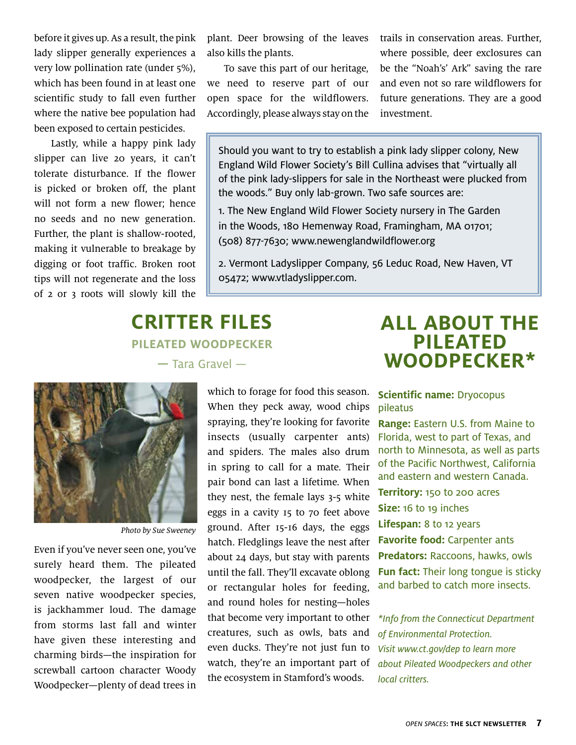before it gives up. As a result, the pink lady slipper generally experiences a very low pollination rate (under 5%), which has been found in at least one scientific study to fall even further where the native bee population had been exposed to certain pesticides.

Lastly, while a happy pink lady slipper can live 20 years, it can't tolerate disturbance. If the flower is picked or broken off, the plant will not form a new flower; hence no seeds and no new generation. Further, the plant is shallow-rooted, making it vulnerable to breakage by digging or foot traffic. Broken root tips will not regenerate and the loss of 2 or 3 roots will slowly kill the plant. Deer browsing of the leaves also kills the plants.

To save this part of our heritage, we need to reserve part of our open space for the wildflowers. Accordingly, please always stay on the trails in conservation areas. Further, where possible, deer exclosures can be the "Noah's' Ark" saving the rare and even not so rare wildflowers for future generations. They are a good investment.

Should you want to try to establish a pink lady slipper colony, New England Wild Flower Society's Bill Cullina advises that "virtually all of the pink lady-slippers for sale in the Northeast were plucked from the woods." Buy only lab-grown. Two safe sources are:

1. The New England Wild Flower Society nursery in The Garden in the Woods, 180 Hemenway Road, Framingham, MA 01701; (508) 877-7630; www.newenglandwildflower.org

2. Vermont Ladyslipper Company, 56 Leduc Road, New Haven, VT 05472; www.vtladyslipper.com.

### **Critter Files PILEATED WOODPECKER —** Tara Gravel —



Photo by Sue Sweeney

Even if you've never seen one, you've surely heard them. The pileated woodpecker, the largest of our seven native woodpecker species, is jackhammer loud. The damage from storms last fall and winter have given these interesting and charming birds—the inspiration for screwball cartoon character Woody Woodpecker—plenty of dead trees in which to forage for food this season. When they peck away, wood chips spraying, they're looking for favorite insects (usually carpenter ants) and spiders. The males also drum in spring to call for a mate. Their pair bond can last a lifetime. When they nest, the female lays 3-5 white eggs in a cavity 15 to 70 feet above ground. After 15-16 days, the eggs hatch. Fledglings leave the nest after about 24 days, but stay with parents until the fall. They'll excavate oblong or rectangular holes for feeding, and round holes for nesting—holes that become very important to other creatures, such as owls, bats and even ducks. They're not just fun to watch, they're an important part of the ecosystem in Stamford's woods.

## **All about the PILEATED WOODPECKER\***

### **Scientific name:** Dryocopus pileatus

**Range:** Eastern U.S. from Maine to Florida, west to part of Texas, and north to Minnesota, as well as parts of the Pacific Northwest, California and eastern and western Canada. **Territory:** 150 to 200 acres **Size:** 16 to 19 inches **Lifespan:** 8 to 12 years **Favorite food:** Carpenter ants **Predators:** Raccoons, hawks, owls **Fun fact:** Their long tongue is sticky and barbed to catch more insects.

\*Info from the Connecticut Department of Environmental Protection. Visit www.ct.gov/dep to learn more about Pileated Woodpeckers and other local critters.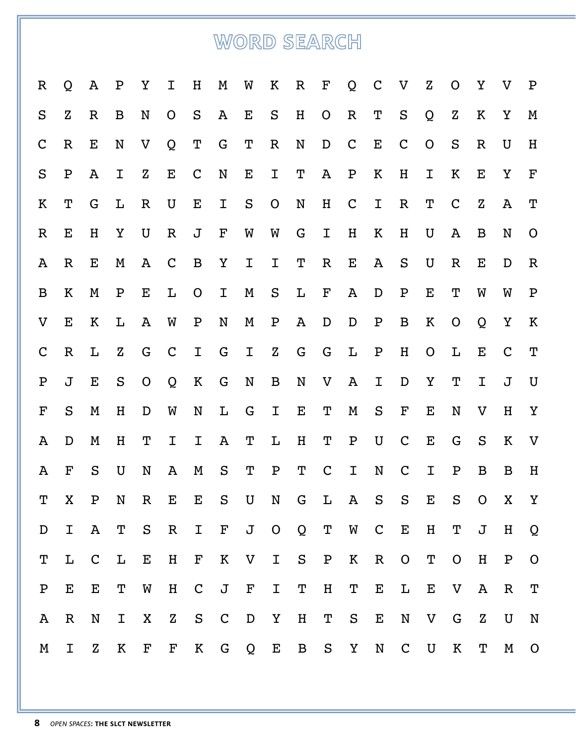# WORD SEARCH

| $\mathbb R$  | Q            | A            | $\mathbf P$  | Υ              | Ι            | H                  | M                  | W            | Κ            | $\mathbf R$  | $\mathbf F$       | Q            | $\mathsf{C}$       | $\rm V$      | $\mathbf Z$    | O            | Υ                         | $\overline{V}$ | $\mathbf P$               |
|--------------|--------------|--------------|--------------|----------------|--------------|--------------------|--------------------|--------------|--------------|--------------|-------------------|--------------|--------------------|--------------|----------------|--------------|---------------------------|----------------|---------------------------|
| S            | $\mathbf{Z}$ | $\mathbb R$  | B            | N              | $\mathsf{O}$ | S                  | A                  | Е            | S            | H            | $\mathsf{O}$      | $\mathbb R$  | Т                  | S            | Q              | $\mathbf z$  | K                         | Υ              | M                         |
| $\mathbf C$  | $\mathbb{R}$ | E            | N            | V              | Q            | Τ                  | G                  | T            | $\mathbf R$  | N            | D                 | $\mathsf{C}$ | $\mathbf E$        | $\mathbf C$  | $\overline{O}$ | S            | $\mathbb R$               | U              | H                         |
| ${\bf S}$    | $\mathbf P$  | $\mathbf{A}$ | $\mathbf I$  | $\mathbf Z$    | $\mathbf E$  | $\mathsf{C}$       | N                  | Е            | I            | Т            | A                 | ${\bf P}$    | K                  | H            | I              | K            | E                         | Y              | $\mathbf{F}% _{0}$        |
| K            | T            | G            | L            | $\mathbf R$    | U            | E                  | I                  | S            | $\mathsf{O}$ | N            | H                 | $\mathsf{C}$ | $\mathbf I$        | $\mathbf R$  | T              | $\mathbf C$  | $\mathbf Z$               | A              | $\mathbf T$               |
| $\mathbb{R}$ | E            | H            | Υ            | U              | $\mathbb R$  | J                  | $\mathbf F$        | W            | W            | G            | I                 | $H_{\rm}$    | Κ                  | H            | U              | A            | B                         | N              | $\mathbf O$               |
| A            | $\mathbb R$  | E            | M            | A              | $\mathbf C$  | $\mathbf B$        | Υ                  | I            | I            | Т            | $\mathbf R$       | Е            | A                  | ${\bf S}$    | U              | $\mathbb R$  | E                         | D              | $\mathbb R$               |
| B            | K            | M            | $\mathbf P$  | E              | L            | $\mathsf{O}$       | I                  | M            | ${\bf S}$    | L            | $\mathbf F$       | A            | D                  | $\mathbf P$  | Е              | Т            | W                         | W              | ${\bf P}$                 |
| $\rm V$      | E            | K            | L            | $\mathbf{A}$   | W            | $\mathbf P$        | N                  | M            | $\mathbf P$  | A            | D                 | D            | $\mathbf P$        | $\, {\bf B}$ | K              | $\mathbf{O}$ | Q                         | Y              | $\,$ K                    |
| $\mathsf{C}$ | $\mathbb{R}$ | L            | $\mathbf Z$  | G              | $\mathbf C$  | I                  | G                  | I            | $\mathbf Z$  | ${\bf G}$    | G                 | $\mathbf L$  | $\mathbf P$        | H            | $\mathbf O$    | L            | Е                         | $\mathbf C$    | $\mathbf T$               |
| $\mathbf P$  | J            | Е            | ${\bf S}$    | $\overline{O}$ | Q            | K                  | G                  | N            | B            | N            | V                 | $\mathbf{A}$ | I                  | D            | $\mathbf Y$    | Т            | I                         | J              | $\mathbf U$               |
| ${\bf F}$    | S            | M            | H            | D              | W            | N                  | L                  | G            | I            | E            | Т                 | $\mathbf M$  | ${\bf S}$          | $\mathbf F$  | Е              | N            | $\boldsymbol{\mathrm{V}}$ | H              | $\rm Y$                   |
| A            | D            | M            | H            | Т              | I            | Ι                  | A                  | Т            | L            | $H_{\rm}$    | Т                 | ${\bf P}$    | U                  | $\mathsf{C}$ | ${\bf E}$      | G            | S                         | K              | $\boldsymbol{\mathrm{V}}$ |
| A            | $\mathbf F$  | S            | U            | N              | A            | M                  | S                  | Т            | $\mathbf P$  | Т            | $\mathbf C$       | I            | N                  | $\mathbf C$  | $\mathbf I$    | $\mathbf P$  | $\bf{B}$                  | B              | $H_{\rm}$                 |
| T            | X            | $\mathbf P$  | N            | $\mathbf R$    | ${\bf E}$    | ${\bf E}$          | ${\bf S}$          | $\mathbf U$  | ${\bf N}$    | G            | $\mathbf L$       | $\mathbf A$  | S                  | S            | ${\bf E}$      | ${\bf S}$    | $\mathsf{O}$              | X              | $\mathbf Y$               |
| $\mathbf D$  | I            | $\mathbf{A}$ | $\mathbf{T}$ | ${\bf S}$      | $\mathbf R$  | I                  | $\mathbf{F}% _{0}$ | J            | $\mathsf{O}$ | Q            | $\mathbf T$       |              | W C                | E            | H              | $\mathbf T$  | J                         | H              | Q                         |
| T            | L            | $\mathbf C$  | $\mathbf{L}$ | $\mathbf E$    | H            | $\mathbf{F}% _{0}$ | $\rm K$            | V            | $\mathbf I$  | S            | ${\bf P}$         | K            |                    | R O          | $\mathbf T$    | $\mathbf O$  | H                         | $\mathbf P$    | $\mathbf O$               |
| $\mathbf P$  | Е            | $\mathbf E$  | T            | W              | H            | $\mathbf C$        | J                  | $\mathbf F$  | I            | $\mathbf T$  | $\, {\rm H}$      | T            | $\mathbf{E}$       | L            | $\mathbf E$    | $\mathbf V$  | A                         | $\mathbf R$    | T                         |
| A            | $\mathbf R$  | ${\bf N}$    | $\mathbf I$  | X              | $\mathbf{Z}$ |                    | S C                | $\mathbf{D}$ | $\mathbf Y$  | $\, {\rm H}$ | $\mathbf T$       | S            | $\mathbf{E}% _{0}$ | ${\rm N}$    | $\mathbf V$    | $\mathsf G$  | $\mathbf Z$               | $\mathbf U$    | N                         |
| M            | I            | $\mathbf{Z}$ | Κ            | $\mathbf{F}$   | $\mathbf{F}$ | $\rm K$            | G                  | Q            | Е            | $\mathbf B$  | $S_{\mathcal{C}}$ | $\mathbf Y$  | $\mathbf N$        | $\mathbf C$  | $\mathbf{U}$   | $\rm K$      | T                         | M              | $\mathsf{O}$              |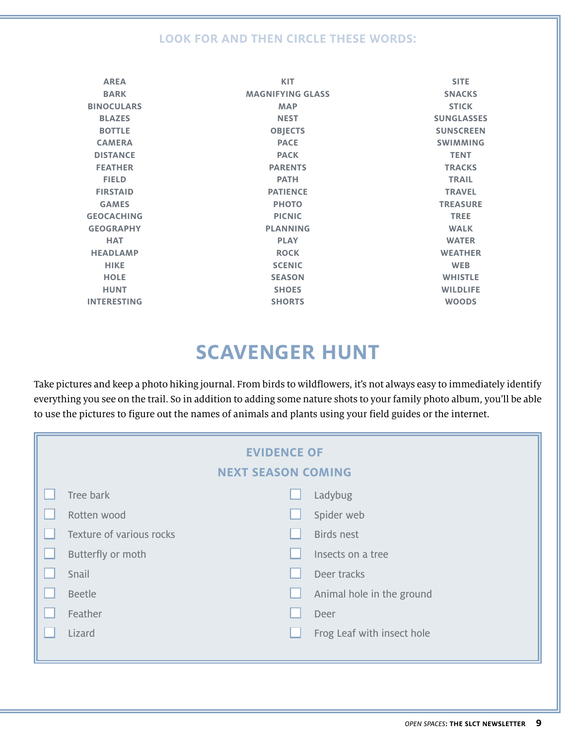### **LOOK FOR AND THEN CIRCLE THESE WORDS:**

| <b>AREA</b>        | <b>KIT</b>              | <b>SITE</b>       |
|--------------------|-------------------------|-------------------|
| <b>BARK</b>        | <b>MAGNIFYING GLASS</b> | <b>SNACKS</b>     |
| <b>BINOCULARS</b>  | <b>MAP</b>              | <b>STICK</b>      |
| <b>BLAZES</b>      | <b>NEST</b>             | <b>SUNGLASSES</b> |
| <b>BOTTLE</b>      | <b>OBJECTS</b>          | <b>SUNSCREEN</b>  |
| <b>CAMERA</b>      | <b>PACE</b>             | <b>SWIMMING</b>   |
| <b>DISTANCE</b>    | <b>PACK</b>             | <b>TENT</b>       |
| <b>FEATHER</b>     | <b>PARENTS</b>          | <b>TRACKS</b>     |
| <b>FIELD</b>       | <b>PATH</b>             | <b>TRAIL</b>      |
| <b>FIRSTAID</b>    | <b>PATIENCE</b>         | <b>TRAVEL</b>     |
| <b>GAMES</b>       | <b>PHOTO</b>            | <b>TREASURE</b>   |
| <b>GEOCACHING</b>  | <b>PICNIC</b>           | <b>TREE</b>       |
| <b>GEOGRAPHY</b>   | <b>PLANNING</b>         | <b>WALK</b>       |
| <b>HAT</b>         | <b>PLAY</b>             | <b>WATER</b>      |
| <b>HEADLAMP</b>    | <b>ROCK</b>             | <b>WEATHER</b>    |
| <b>HIKE</b>        | <b>SCENIC</b>           | <b>WEB</b>        |
| <b>HOLE</b>        | <b>SEASON</b>           | <b>WHISTLE</b>    |
| <b>HUNT</b>        | <b>SHOES</b>            | <b>WILDLIFE</b>   |
| <b>INTERESTING</b> | <b>SHORTS</b>           | <b>WOODS</b>      |

# **scavenger hunt**

Take pictures and keep a photo hiking journal. From birds to wildflowers, it's not always easy to immediately identify everything you see on the trail. So in addition to adding some nature shots to your family photo album, you'll be able to use the pictures to figure out the names of animals and plants using your field guides or the internet.

| <b>EVIDENCE OF</b><br><b>NEXT SEASON COMING</b> |                            |
|-------------------------------------------------|----------------------------|
|                                                 |                            |
| Tree bark                                       | Ladybug                    |
| Rotten wood                                     | Spider web                 |
| Texture of various rocks                        | Birds nest                 |
| Butterfly or moth                               | Insects on a tree          |
| Snail                                           | Deer tracks                |
| <b>Beetle</b>                                   | Animal hole in the ground  |
| Feather                                         | Deer                       |
| Lizard                                          | Frog Leaf with insect hole |
|                                                 |                            |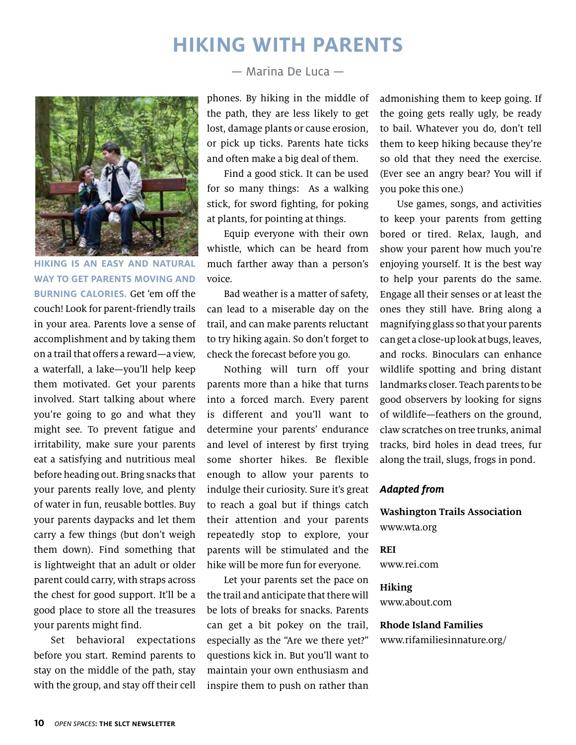## **HIKING WITH PARENTS**



**Hiking is an easy and natural way to get parents moving and burning calories.** Get 'em off the couch! Look for parent-friendly trails in your area. Parents love a sense of accomplishment and by taking them on a trail that offers a reward—a view, a waterfall, a lake—you'll help keep them motivated. Get your parents involved. Start talking about where you're going to go and what they might see. To prevent fatigue and irritability, make sure your parents eat a satisfying and nutritious meal before heading out. Bring snacks that your parents really love, and plenty of water in fun, reusable bottles. Buy your parents daypacks and let them carry a few things (but don't weigh them down). Find something that is lightweight that an adult or older parent could carry, with straps across the chest for good support. It'll be a good place to store all the treasures your parents might find.

Set behavioral expectations before you start. Remind parents to stay on the middle of the path, stay with the group, and stay off their cell — Marina De Luca —

phones. By hiking in the middle of the path, they are less likely to get lost, damage plants or cause erosion, or pick up ticks. Parents hate ticks and often make a big deal of them.

Find a good stick. It can be used for so many things: As a walking stick, for sword fighting, for poking at plants, for pointing at things.

Equip everyone with their own whistle, which can be heard from much farther away than a person's voice.

Bad weather is a matter of safety, can lead to a miserable day on the trail, and can make parents reluctant to try hiking again. So don't forget to check the forecast before you go.

Nothing will turn off your parents more than a hike that turns into a forced march. Every parent is different and you'll want to determine your parents' endurance and level of interest by first trying some shorter hikes. Be flexible enough to allow your parents to indulge their curiosity. Sure it's great to reach a goal but if things catch their attention and your parents repeatedly stop to explore, your parents will be stimulated and the hike will be more fun for everyone.

Let your parents set the pace on the trail and anticipate that there will be lots of breaks for snacks. Parents can get a bit pokey on the trail, especially as the "Are we there yet?" questions kick in. But you'll want to maintain your own enthusiasm and inspire them to push on rather than

admonishing them to keep going. If the going gets really ugly, be ready to bail. Whatever you do, don't tell them to keep hiking because they're so old that they need the exercise. (Ever see an angry bear? You will if you poke this one.)

Use games, songs, and activities to keep your parents from getting bored or tired. Relax, laugh, and show your parent how much you're enjoying yourself. It is the best way to help your parents do the same. Engage all their senses or at least the ones they still have. Bring along a magnifying glass so that your parents can get a close-up look at bugs, leaves, and rocks. Binoculars can enhance wildlife spotting and bring distant landmarks closer. Teach parents to be good observers by looking for signs of wildlife—feathers on the ground, claw scratches on tree trunks, animal tracks, bird holes in dead trees, fur along the trail, slugs, frogs in pond.

#### **Adapted from**

**Washington Trails Association** www.wta.org

#### **REI**

www.rei.com

**Hiking** www.about.com

### **Rhode Island Families** www.rifamiliesinnature.org/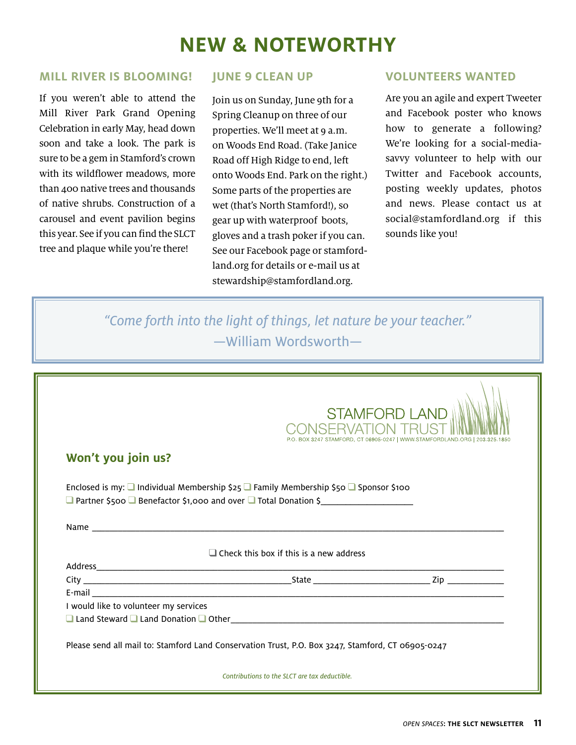# **new & noteworthy**

### **MILL RIVER IS BLOOMING!**

If you weren't able to attend the Mill River Park Grand Opening Celebration in early May, head down soon and take a look. The park is sure to be a gem in Stamford's crown with its wildflower meadows, more than 400 native trees and thousands of native shrubs. Construction of a carousel and event pavilion begins this year. See if you can find the SLCT tree and plaque while you're there!

### **JUNE 9 CLEAN UP**

Join us on Sunday, June 9th for a Spring Cleanup on three of our properties. We'll meet at 9 a.m. on Woods End Road. (Take Janice Road off High Ridge to end, left onto Woods End. Park on the right.) Some parts of the properties are wet (that's North Stamford!), so gear up with waterproof boots, gloves and a trash poker if you can. See our Facebook page or stamfordland.org for details or e-mail us at stewardship@stamfordland.org.

### **volunteers wanted**

Are you an agile and expert Tweeter and Facebook poster who knows how to generate a following? We're looking for a social-mediasavvy volunteer to help with our Twitter and Facebook accounts, posting weekly updates, photos and news. Please contact us at social@stamfordland.org if this sounds like you!

"Come forth into the light of things, let nature be your teacher." —William Wordsworth—

|                                       |                                                                                                                                                                     | <b>STAMFORD LAND</b>                                    |
|---------------------------------------|---------------------------------------------------------------------------------------------------------------------------------------------------------------------|---------------------------------------------------------|
| Won't you join us?                    |                                                                                                                                                                     | BOX 3247 STAMFORD, CT 06905-0247   WWW.STAMFORDLAND.ORG |
|                                       | Enclosed is my: $\Box$ Individual Membership \$25 $\Box$ Family Membership \$50 $\Box$ Sponsor \$100<br>Partner \$500 Benefactor \$1,000 and over Total Donation \$ |                                                         |
|                                       |                                                                                                                                                                     |                                                         |
|                                       | $\Box$ Check this box if this is a new address                                                                                                                      |                                                         |
|                                       |                                                                                                                                                                     |                                                         |
|                                       |                                                                                                                                                                     |                                                         |
|                                       |                                                                                                                                                                     |                                                         |
|                                       |                                                                                                                                                                     |                                                         |
| I would like to volunteer my services |                                                                                                                                                                     |                                                         |
|                                       |                                                                                                                                                                     |                                                         |